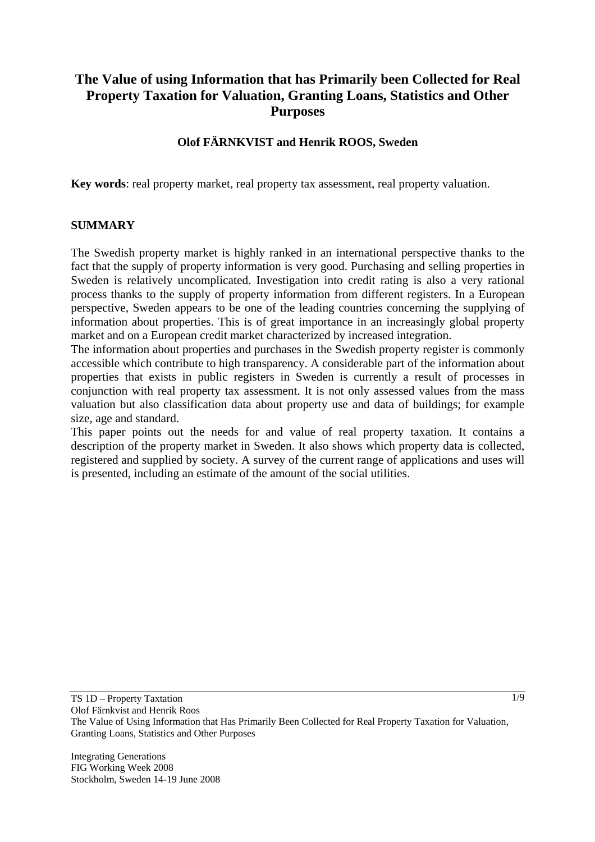# **The Value of using Information that has Primarily been Collected for Real Property Taxation for Valuation, Granting Loans, Statistics and Other Purposes**

#### **Olof FÄRNKVIST and Henrik ROOS, Sweden**

**Key words**: real property market, real property tax assessment, real property valuation.

#### **SUMMARY**

The Swedish property market is highly ranked in an international perspective thanks to the fact that the supply of property information is very good. Purchasing and selling properties in Sweden is relatively uncomplicated. Investigation into credit rating is also a very rational process thanks to the supply of property information from different registers. In a European perspective, Sweden appears to be one of the leading countries concerning the supplying of information about properties. This is of great importance in an increasingly global property market and on a European credit market characterized by increased integration.

The information about properties and purchases in the Swedish property register is commonly accessible which contribute to high transparency. A considerable part of the information about properties that exists in public registers in Sweden is currently a result of processes in conjunction with real property tax assessment. It is not only assessed values from the mass valuation but also classification data about property use and data of buildings; for example size, age and standard.

This paper points out the needs for and value of real property taxation. It contains a description of the property market in Sweden. It also shows which property data is collected, registered and supplied by society. A survey of the current range of applications and uses will is presented, including an estimate of the amount of the social utilities.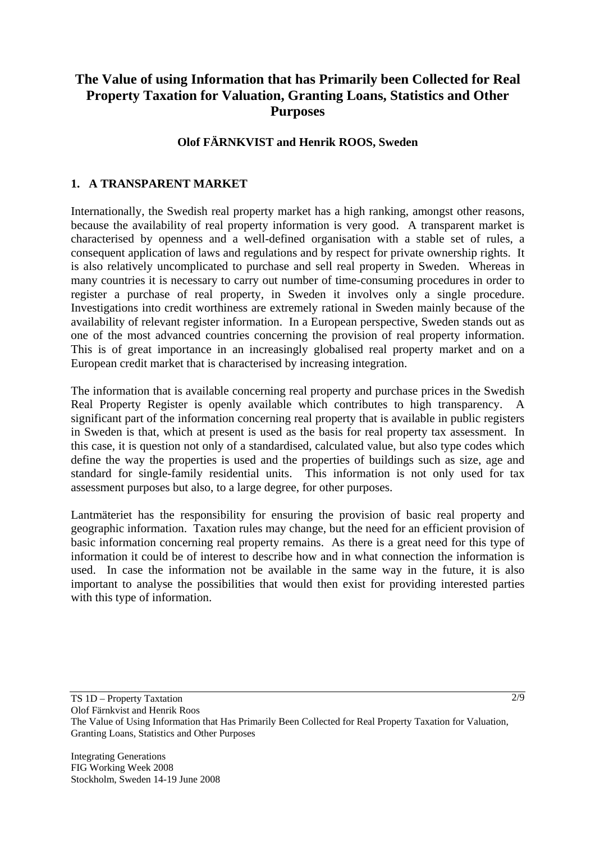# **The Value of using Information that has Primarily been Collected for Real Property Taxation for Valuation, Granting Loans, Statistics and Other Purposes**

#### **Olof FÄRNKVIST and Henrik ROOS, Sweden**

### **1. A TRANSPARENT MARKET**

Internationally, the Swedish real property market has a high ranking, amongst other reasons, because the availability of real property information is very good. A transparent market is characterised by openness and a well-defined organisation with a stable set of rules, a consequent application of laws and regulations and by respect for private ownership rights. It is also relatively uncomplicated to purchase and sell real property in Sweden. Whereas in many countries it is necessary to carry out number of time-consuming procedures in order to register a purchase of real property, in Sweden it involves only a single procedure. Investigations into credit worthiness are extremely rational in Sweden mainly because of the availability of relevant register information. In a European perspective, Sweden stands out as one of the most advanced countries concerning the provision of real property information. This is of great importance in an increasingly globalised real property market and on a European credit market that is characterised by increasing integration.

The information that is available concerning real property and purchase prices in the Swedish Real Property Register is openly available which contributes to high transparency. A significant part of the information concerning real property that is available in public registers in Sweden is that, which at present is used as the basis for real property tax assessment. In this case, it is question not only of a standardised, calculated value, but also type codes which define the way the properties is used and the properties of buildings such as size, age and standard for single-family residential units. This information is not only used for tax assessment purposes but also, to a large degree, for other purposes.

Lantmäteriet has the responsibility for ensuring the provision of basic real property and geographic information. Taxation rules may change, but the need for an efficient provision of basic information concerning real property remains. As there is a great need for this type of information it could be of interest to describe how and in what connection the information is used. In case the information not be available in the same way in the future, it is also important to analyse the possibilities that would then exist for providing interested parties with this type of information.

Olof Färnkvist and Henrik Roos

TS 1D – Property Taxtation

The Value of Using Information that Has Primarily Been Collected for Real Property Taxation for Valuation, Granting Loans, Statistics and Other Purposes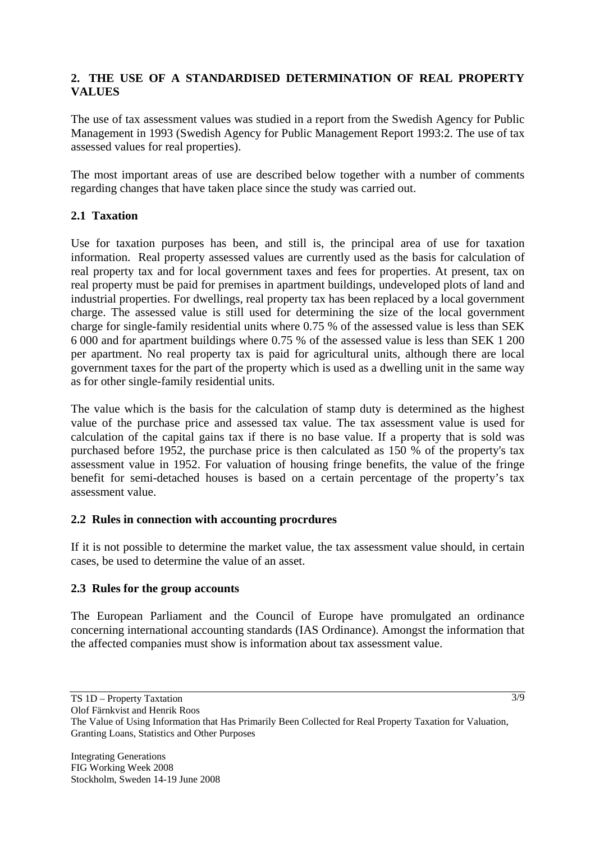### **2. THE USE OF A STANDARDISED DETERMINATION OF REAL PROPERTY VALUES**

The use of tax assessment values was studied in a report from the Swedish Agency for Public Management in 1993 (Swedish Agency for Public Management Report 1993:2. The use of tax assessed values for real properties).

The most important areas of use are described below together with a number of comments regarding changes that have taken place since the study was carried out.

#### **2.1 Taxation**

Use for taxation purposes has been, and still is, the principal area of use for taxation information. Real property assessed values are currently used as the basis for calculation of real property tax and for local government taxes and fees for properties. At present, tax on real property must be paid for premises in apartment buildings, undeveloped plots of land and industrial properties. For dwellings, real property tax has been replaced by a local government charge. The assessed value is still used for determining the size of the local government charge for single-family residential units where 0.75 % of the assessed value is less than SEK 6 000 and for apartment buildings where 0.75 % of the assessed value is less than SEK 1 200 per apartment. No real property tax is paid for agricultural units, although there are local government taxes for the part of the property which is used as a dwelling unit in the same way as for other single-family residential units.

The value which is the basis for the calculation of stamp duty is determined as the highest value of the purchase price and assessed tax value. The tax assessment value is used for calculation of the capital gains tax if there is no base value. If a property that is sold was purchased before 1952, the purchase price is then calculated as 150 % of the property's tax assessment value in 1952. For valuation of housing fringe benefits, the value of the fringe benefit for semi-detached houses is based on a certain percentage of the property's tax assessment value.

#### **2.2 Rules in connection with accounting procrdures**

If it is not possible to determine the market value, the tax assessment value should, in certain cases, be used to determine the value of an asset.

#### **2.3 Rules for the group accounts**

The European Parliament and the Council of Europe have promulgated an ordinance concerning international accounting standards (IAS Ordinance). Amongst the information that the affected companies must show is information about tax assessment value.

TS 1D – Property Taxtation

Olof Färnkvist and Henrik Roos

The Value of Using Information that Has Primarily Been Collected for Real Property Taxation for Valuation, Granting Loans, Statistics and Other Purposes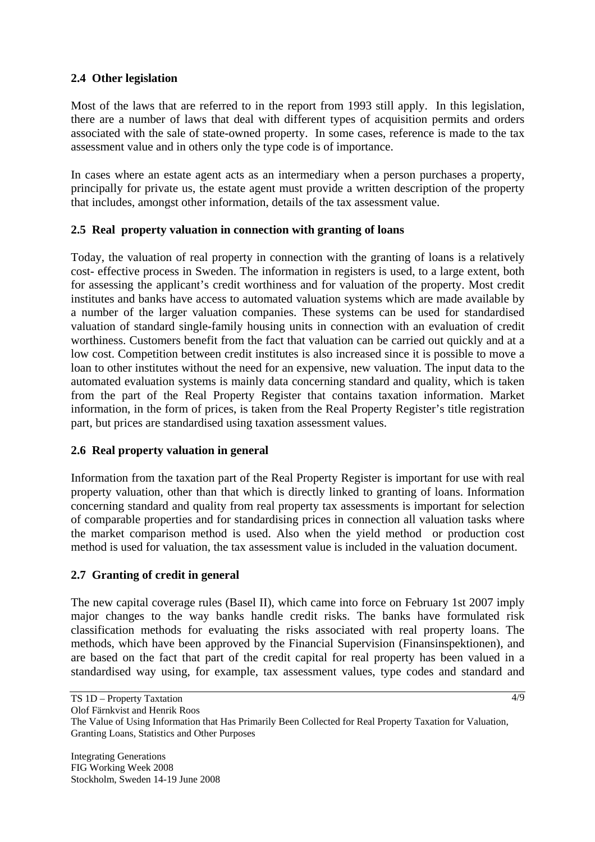## **2.4 Other legislation**

Most of the laws that are referred to in the report from 1993 still apply. In this legislation, there are a number of laws that deal with different types of acquisition permits and orders associated with the sale of state-owned property. In some cases, reference is made to the tax assessment value and in others only the type code is of importance.

In cases where an estate agent acts as an intermediary when a person purchases a property, principally for private us, the estate agent must provide a written description of the property that includes, amongst other information, details of the tax assessment value.

#### **2.5 Real property valuation in connection with granting of loans**

Today, the valuation of real property in connection with the granting of loans is a relatively cost- effective process in Sweden. The information in registers is used, to a large extent, both for assessing the applicant's credit worthiness and for valuation of the property. Most credit institutes and banks have access to automated valuation systems which are made available by a number of the larger valuation companies. These systems can be used for standardised valuation of standard single-family housing units in connection with an evaluation of credit worthiness. Customers benefit from the fact that valuation can be carried out quickly and at a low cost. Competition between credit institutes is also increased since it is possible to move a loan to other institutes without the need for an expensive, new valuation. The input data to the automated evaluation systems is mainly data concerning standard and quality, which is taken from the part of the Real Property Register that contains taxation information. Market information, in the form of prices, is taken from the Real Property Register's title registration part, but prices are standardised using taxation assessment values.

#### **2.6 Real property valuation in general**

Information from the taxation part of the Real Property Register is important for use with real property valuation, other than that which is directly linked to granting of loans. Information concerning standard and quality from real property tax assessments is important for selection of comparable properties and for standardising prices in connection all valuation tasks where the market comparison method is used. Also when the yield method or production cost method is used for valuation, the tax assessment value is included in the valuation document.

#### **2.7 Granting of credit in general**

The new capital coverage rules (Basel II), which came into force on February 1st 2007 imply major changes to the way banks handle credit risks. The banks have formulated risk classification methods for evaluating the risks associated with real property loans. The methods, which have been approved by the Financial Supervision (Finansinspektionen), and are based on the fact that part of the credit capital for real property has been valued in a standardised way using, for example, tax assessment values, type codes and standard and

TS 1D – Property Taxtation

Olof Färnkvist and Henrik Roos

The Value of Using Information that Has Primarily Been Collected for Real Property Taxation for Valuation, Granting Loans, Statistics and Other Purposes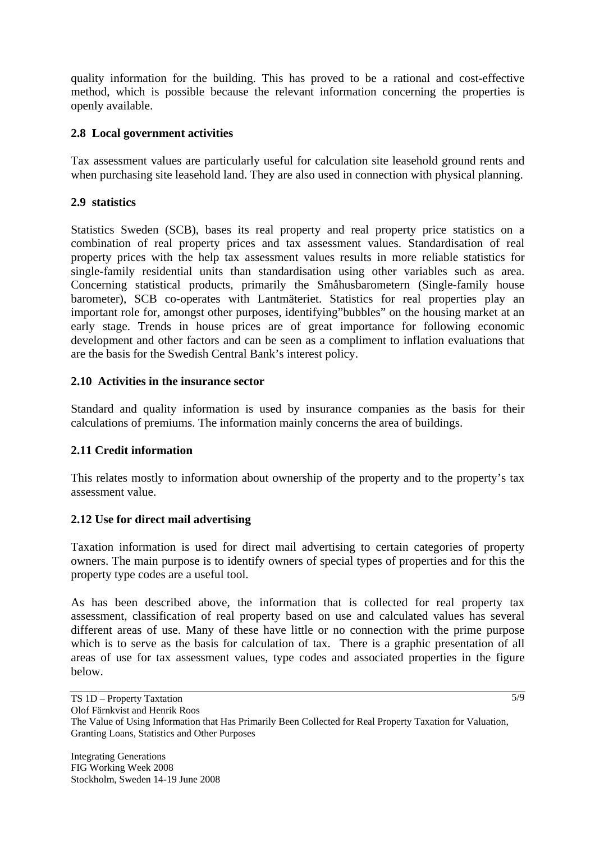quality information for the building. This has proved to be a rational and cost-effective method, which is possible because the relevant information concerning the properties is openly available.

### **2.8 Local government activities**

Tax assessment values are particularly useful for calculation site leasehold ground rents and when purchasing site leasehold land. They are also used in connection with physical planning.

## **2.9 statistics**

Statistics Sweden (SCB), bases its real property and real property price statistics on a combination of real property prices and tax assessment values. Standardisation of real property prices with the help tax assessment values results in more reliable statistics for single-family residential units than standardisation using other variables such as area. Concerning statistical products, primarily the Småhusbarometern (Single-family house barometer), SCB co-operates with Lantmäteriet. Statistics for real properties play an important role for, amongst other purposes, identifying"bubbles" on the housing market at an early stage. Trends in house prices are of great importance for following economic development and other factors and can be seen as a compliment to inflation evaluations that are the basis for the Swedish Central Bank's interest policy.

#### **2.10 Activities in the insurance sector**

Standard and quality information is used by insurance companies as the basis for their calculations of premiums. The information mainly concerns the area of buildings.

#### **2.11 Credit information**

This relates mostly to information about ownership of the property and to the property's tax assessment value.

#### **2.12 Use for direct mail advertising**

Taxation information is used for direct mail advertising to certain categories of property owners. The main purpose is to identify owners of special types of properties and for this the property type codes are a useful tool.

As has been described above, the information that is collected for real property tax assessment, classification of real property based on use and calculated values has several different areas of use. Many of these have little or no connection with the prime purpose which is to serve as the basis for calculation of tax. There is a graphic presentation of all areas of use for tax assessment values, type codes and associated properties in the figure below.

Olof Färnkvist and Henrik Roos

The Value of Using Information that Has Primarily Been Collected for Real Property Taxation for Valuation, Granting Loans, Statistics and Other Purposes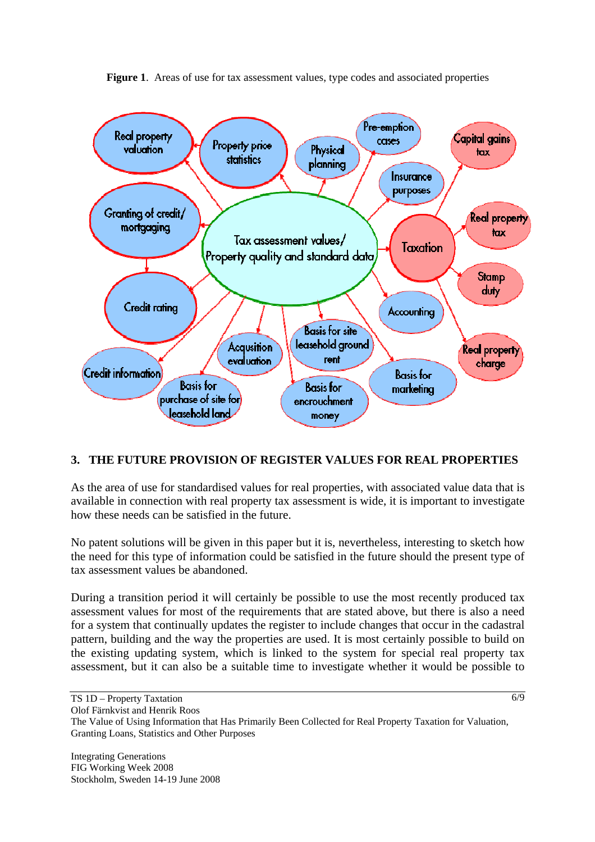

Figure 1. Areas of use for tax assessment values, type codes and associated properties

# **3. THE FUTURE PROVISION OF REGISTER VALUES FOR REAL PROPERTIES**

As the area of use for standardised values for real properties, with associated value data that is available in connection with real property tax assessment is wide, it is important to investigate how these needs can be satisfied in the future.

No patent solutions will be given in this paper but it is, nevertheless, interesting to sketch how the need for this type of information could be satisfied in the future should the present type of tax assessment values be abandoned.

During a transition period it will certainly be possible to use the most recently produced tax assessment values for most of the requirements that are stated above, but there is also a need for a system that continually updates the register to include changes that occur in the cadastral pattern, building and the way the properties are used. It is most certainly possible to build on the existing updating system, which is linked to the system for special real property tax assessment, but it can also be a suitable time to investigate whether it would be possible to

The Value of Using Information that Has Primarily Been Collected for Real Property Taxation for Valuation, Granting Loans, Statistics and Other Purposes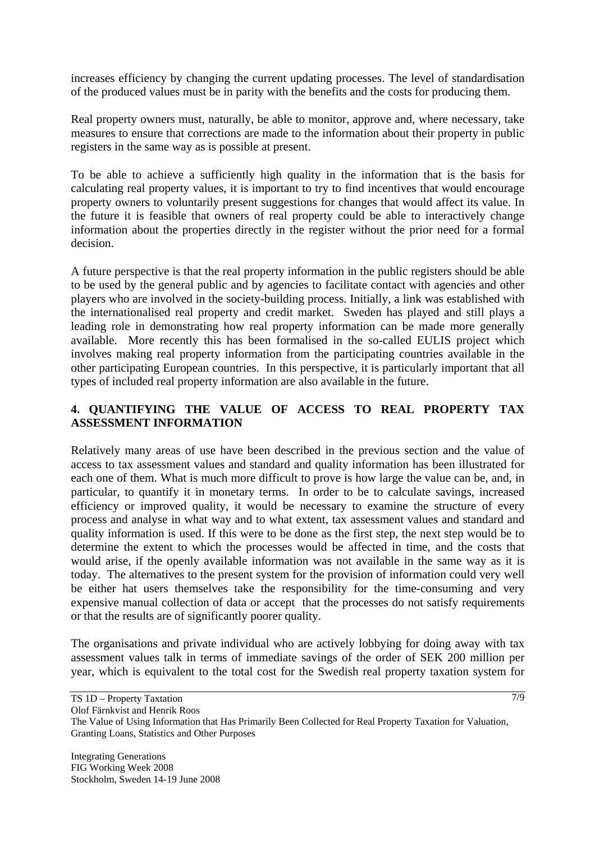increases efficiency by changing the current updating processes. The level of standardisation of the produced values must be in parity with the benefits and the costs for producing them.

Real property owners must, naturally, be able to monitor, approve and, where necessary, take measures to ensure that corrections are made to the information about their property in public registers in the same way as is possible at present.

To be able to achieve a sufficiently high quality in the information that is the basis for calculating real property values, it is important to try to find incentives that would encourage property owners to voluntarily present suggestions for changes that would affect its value. In the future it is feasible that owners of real property could be able to interactively change information about the properties directly in the register without the prior need for a formal decision.

A future perspective is that the real property information in the public registers should be able to be used by the general public and by agencies to facilitate contact with agencies and other players who are involved in the society-building process. Initially, a link was established with the internationalised real property and credit market. Sweden has played and still plays a leading role in demonstrating how real property information can be made more generally available. More recently this has been formalised in the so-called EULIS project which involves making real property information from the participating countries available in the other participating European countries. In this perspective, it is particularly important that all types of included real property information are also available in the future.

# **4. QUANTIFYING THE VALUE OF ACCESS TO REAL PROPERTY TAX ASSESSMENT INFORMATION**

Relatively many areas of use have been described in the previous section and the value of access to tax assessment values and standard and quality information has been illustrated for each one of them. What is much more difficult to prove is how large the value can be, and, in particular, to quantify it in monetary terms. In order to be to calculate savings, increased efficiency or improved quality, it would be necessary to examine the structure of every process and analyse in what way and to what extent, tax assessment values and standard and quality information is used. If this were to be done as the first step, the next step would be to determine the extent to which the processes would be affected in time, and the costs that would arise, if the openly available information was not available in the same way as it is today. The alternatives to the present system for the provision of information could very well be either hat users themselves take the responsibility for the time-consuming and very expensive manual collection of data or accept that the processes do not satisfy requirements or that the results are of significantly poorer quality.

The organisations and private individual who are actively lobbying for doing away with tax assessment values talk in terms of immediate savings of the order of SEK 200 million per year, which is equivalent to the total cost for the Swedish real property taxation system for

Olof Färnkvist and Henrik Roos

The Value of Using Information that Has Primarily Been Collected for Real Property Taxation for Valuation, Granting Loans, Statistics and Other Purposes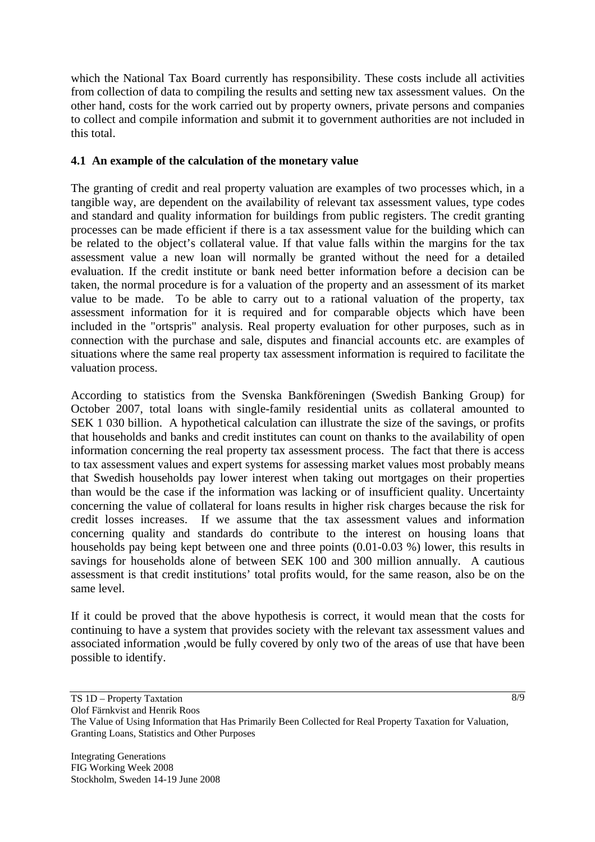which the National Tax Board currently has responsibility. These costs include all activities from collection of data to compiling the results and setting new tax assessment values. On the other hand, costs for the work carried out by property owners, private persons and companies to collect and compile information and submit it to government authorities are not included in this total.

### **4.1 An example of the calculation of the monetary value**

The granting of credit and real property valuation are examples of two processes which, in a tangible way, are dependent on the availability of relevant tax assessment values, type codes and standard and quality information for buildings from public registers. The credit granting processes can be made efficient if there is a tax assessment value for the building which can be related to the object's collateral value. If that value falls within the margins for the tax assessment value a new loan will normally be granted without the need for a detailed evaluation. If the credit institute or bank need better information before a decision can be taken, the normal procedure is for a valuation of the property and an assessment of its market value to be made. To be able to carry out to a rational valuation of the property, tax assessment information for it is required and for comparable objects which have been included in the "ortspris" analysis. Real property evaluation for other purposes, such as in connection with the purchase and sale, disputes and financial accounts etc. are examples of situations where the same real property tax assessment information is required to facilitate the valuation process.

According to statistics from the Svenska Bankföreningen (Swedish Banking Group) for October 2007, total loans with single-family residential units as collateral amounted to SEK 1 030 billion. A hypothetical calculation can illustrate the size of the savings, or profits that households and banks and credit institutes can count on thanks to the availability of open information concerning the real property tax assessment process. The fact that there is access to tax assessment values and expert systems for assessing market values most probably means that Swedish households pay lower interest when taking out mortgages on their properties than would be the case if the information was lacking or of insufficient quality. Uncertainty concerning the value of collateral for loans results in higher risk charges because the risk for credit losses increases. If we assume that the tax assessment values and information concerning quality and standards do contribute to the interest on housing loans that households pay being kept between one and three points (0.01-0.03 %) lower, this results in savings for households alone of between SEK 100 and 300 million annually. A cautious assessment is that credit institutions' total profits would, for the same reason, also be on the same level.

If it could be proved that the above hypothesis is correct, it would mean that the costs for continuing to have a system that provides society with the relevant tax assessment values and associated information ,would be fully covered by only two of the areas of use that have been possible to identify.

TS 1D – Property Taxtation

Olof Färnkvist and Henrik Roos

The Value of Using Information that Has Primarily Been Collected for Real Property Taxation for Valuation, Granting Loans, Statistics and Other Purposes